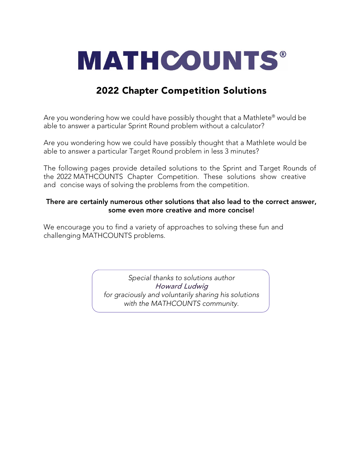

# 2022 Chapter Competition Solutions

Are you wondering how we could have possibly thought that a Mathlete® would be able to answer a particular Sprint Round problem without a calculator?

Are you wondering how we could have possibly thought that a Mathlete would be able to answer a particular Target Round problem in less 3 minutes?

The following pages provide detailed solutions to the Sprint and Target Rounds of the 2022 MATHCOUNTS Chapter Competition. These solutions show creative and concise ways of solving the problems from the competition.

# There are certainly numerous other solutions that also lead to the correct answer, some even more creative and more concise!

We encourage you to find a variety of approaches to solving these fun and challenging MATHCOUNTS problems.

> *Special thanks to solutions author*  Howard Ludwig *for graciously and voluntarily sharing his solutions with the MATHCOUNTS community.*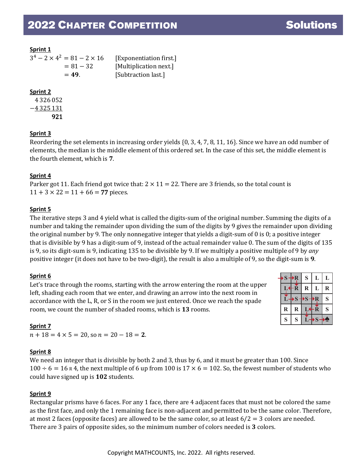| $3^4 - 2 \times 4^2 = 81 - 2 \times 16$ | [Exponentiation first.] |  |  |
|-----------------------------------------|-------------------------|--|--|
| $= 81 - 32$                             | [Multiplication next.]  |  |  |
| $= 49.$                                 | [Subtraction last.]     |  |  |

# **Sprint 2**

+4 326 052 −4 325 131 +     921

# **Sprint 3**

Reordering the set elements in increasing order yields {0, 3, 4, 7, 8, 11, 16}. Since we have an odd number of elements, the median is the middle element of this ordered set. In the case of this set, the middle element is the fourth element, which is **7**.

# **Sprint 4**

Parker got 11. Each friend got twice that:  $2 \times 11 = 22$ . There are 3 friends, so the total count is  $11 + 3 \times 22 = 11 + 66 = 77$  pieces.

# **Sprint 5**

The iterative steps 3 and 4 yield what is called the digits-sum of the original number. Summing the digits of a number and taking the remainder upon dividing the sum of the digits by 9 gives the remainder upon dividing the original number by 9. The only nonnegative integer that yields a digit-sum of 0 is 0; a positive integer that is divisible by 9 has a digit-sum of 9, instead of the actual remainder value 0. The sum of the digits of 135 is 9, so its digit-sum is 9, indicating 135 to be divisible by 9. If we multiply a positive multiple of 9 by *any* positive integer (it does not have to be two-digit), the result is also a multiple of 9, so the digit-sum is **9**.

# **Sprint 6**

Let's trace through the rooms, starting with the arrow entering the room at the upper left, shading each room that we enter, and drawing an arrow into the next room in accordance with the L, R, or S in the room we just entered. Once we reach the spade room, we count the number of shaded rooms, which is **13** rooms.

|  | S           | $+ R$   | S                       | L                       | L |
|--|-------------|---------|-------------------------|-------------------------|---|
|  |             | R       | $\bf R$                 | L                       | R |
|  |             | S       | $\overline{\mathbf{S}}$ | R                       | S |
|  | $\mathbf R$ | $\bf R$ | ÷                       | $\hat{\mathbf{R}}$      | S |
|  | S           | S       |                         | $\overline{\mathbf{S}}$ |   |

# **Sprint 7**

 $n + 18 = 4 \times 5 = 20$ , so  $n = 20 - 18 = 2$ .

# **Sprint 8**

We need an integer that is divisible by both 2 and 3, thus by 6, and it must be greater than 100. Since  $100 \div 6 = 16$  R 4, the next multiple of 6 up from 100 is  $17 \times 6 = 102$ . So, the fewest number of students who could have signed up is **102** students.

# **Sprint 9**

Rectangular prisms have 6 faces. For any 1 face, there are 4 adjacent faces that must not be colored the same as the first face, and only the 1 remaining face is non-adjacent and permitted to be the same color. Therefore, at most 2 faces (opposite faces) are allowed to be the same color, so at least  $6/2 = 3$  colors are needed. There are 3 pairs of opposite sides, so the minimum number of colors needed is **3** colors.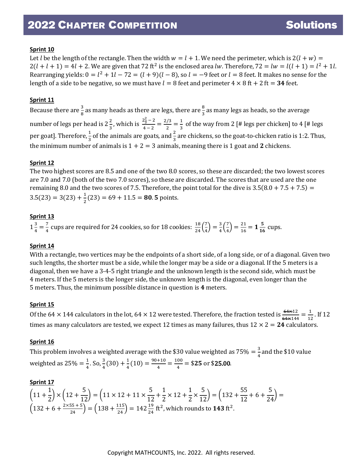Let *l* be the length of the rectangle. Then the width  $w = l + 1$ . We need the perimeter, which is  $2(l + w) =$  $2(l + l + 1) = 4l + 2$ . We are given that 72 ft<sup>2</sup> is the enclosed area *lw*. Therefore, 72 = *lw* =  $l(l + 1) = l^2 + 1l$ . Rearranging yields:  $0 = l^2 + 1l - 72 = (l + 9)(l - 8)$ , so  $l = -9$  feet or  $l = 8$  feet. It makes no sense for the length of a side to be negative, so we must have  $l = 8$  feet and perimeter  $4 \times 8$  ft  $+ 2$  ft  $= 34$  feet.

# **Sprint 11**

Because there are  $\frac{3}{8}$  as many heads as there are legs, there are  $\frac{8}{3}$  as many legs as heads, so the average number of legs per head is  $2\frac{2}{3}$ , which is  $\frac{2\frac{2}{3}-2}{4-2}=\frac{2/3}{2}=\frac{1}{3}$  of the way from 2 [# legs per chicken] to 4 [# legs per goat]. Therefore,  $\frac{1}{3}$  of the animals are goats, and  $\frac{2}{3}$  are chickens, so the goat-to-chicken ratio is 1:2. Thus, the minimum number of animals is  $1 + 2 = 3$  animals, meaning there is 1 goat and 2 chickens.

## **Sprint 12**

The two highest scores are 8.5 and one of the two 8.0 scores, so these are discarded; the two lowest scores are 7.0 and 7.0 (both of the two 7.0 scores), so these are discarded. The scores that are used are the one remaining 8.0 and the two scores of 7.5. Therefore, the point total for the dive is  $3.5(8.0 + 7.5 + 7.5)$  =  $3.5(23) = 3(23) + \frac{1}{2}(23) = 69 + 11.5 = 80.5$  points.

## **Sprint 13**

 $1\frac{3}{4} = \frac{7}{4}$  cups are required for 24 cookies, so for 18 cookies:  $\frac{18}{24}(\frac{7}{4})$  $\binom{7}{4} = \frac{3}{4} \binom{7}{4}$  $\left(\frac{7}{4}\right) = \frac{21}{16} = 1\frac{5}{16}$  cups.

#### **Sprint 14**

With a rectangle, two vertices may be the endpoints of a short side, of a long side, or of a diagonal. Given two such lengths, the shorter must be a side, while the longer may be a side or a diagonal. If the 5 meters is a diagonal, then we have a 3-4-5 right triangle and the unknown length is the second side, which must be 4 meters. If the 5 meters is the longer side, the unknown length is the diagonal, even longer than the 5 meters. Thus, the minimum possible distance in question is **4** meters.

#### **Sprint 15**

Of the 64  $\times$  144 calculators in the lot, 64  $\times$  12 were tested. Therefore, the fraction tested is  $\frac{64\times12}{64\times144} = \frac{1}{12}$ . If 12 times as many calculators are tested, we expect 12 times as many failures, thus  $12 \times 2 = 24$  calculators.

#### **Sprint 16**

This problem involves a weighted average with the \$30 value weighted as  $75\% = \frac{3}{4}$  and the \$10 value weighted as 25% =  $\frac{1}{4}$ . So,  $\frac{3}{4}(30) + \frac{1}{4}(10) = \frac{90+10}{4} = \frac{100}{4} = $25$  or \$25.00.

#### **Sprint 17**

 $(11 +$ 1 2/ ( 12/ ( 12/ 2 2  $\frac{1}{2}$   $\times$   $\frac{12}{12}$ 5  $\frac{1}{12}$  =  $\left(11 \times 12 + 11 \times \cdots \right)$ 5  $\frac{1}{12}$  + 1  $\times$  12 + 1 × 5  $\frac{1}{12}$  =  $\left( \frac{132}{13} \right)$ 55  $\frac{1}{12}$  + 6 + 5  $\frac{1}{24}$  =  $\left(132 + 6 + \frac{2 \times 55 + 5}{24}\right) = \left(138 + \frac{115}{24}\right) = 142 \frac{19}{24}$  ft<sup>2</sup>, which rounds to **143** ft<sup>2</sup>.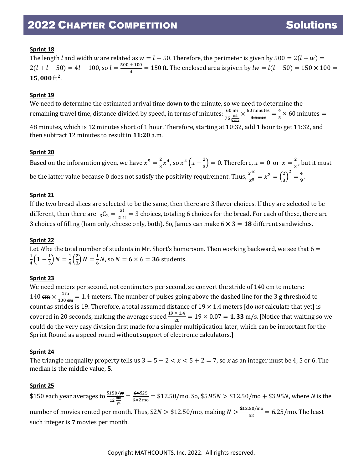The length *l* and width *w* are related as  $w = l - 50$ . Therefore, the perimeter is given by  $500 = 2(l + w) =$  $2(l + l - 50) = 4l - 100$ , so  $l = \frac{500 + 100}{4} = 150$  ft. The enclosed area is given by  $lw = l(l - 50) = 150 \times 100 =$ 15,000 $ft^2$ .

## **Sprint 19**

We need to determine the estimated arrival time down to the minute, so we need to determine the remaining travel time, distance divided by speed, in terms of minutes:  $\frac{60 \text{ }\mathrm{mH}}{75 \text{ }\frac{\text{mi}}{\text{hour}}}$  $\times \frac{60 \text{ minutes}}{4 \text{ hour}} = \frac{4}{5} \times 60 \text{ minutes} =$ 48 minutes, which is 12 minutes short of 1 hour. Therefore, starting at 10:32, add 1 hour to get 11:32, and then subtract 12 minutes to result in **11:20** a.m.

## **Sprint 20**

Based on the inforamtion given, we have  $x^5 = \frac{2}{3}x^4$ , so  $x^4\left(x-\frac{2}{3}\right) = 0$ . Therefore,  $x = 0$  or  $x = \frac{2}{3}$ , but it must be the latter value because 0 does not satisfy the positivity requirement. Thus,  $\frac{x^{10}}{x^8} = x^2 = \left(\frac{2}{3}\right)$  $\frac{1}{3}$  $\frac{2}{9} = \frac{4}{9}$ .

## **Sprint 21**

If the two bread slices are selected to be the same, then there are 3 flavor choices. If they are selected to be different, then there are  ${}_{3}C_{2} = \frac{3!}{2! \cdot 1!} = 3$  choices, totaling 6 choices for the bread. For each of these, there are 3 choices of filling (ham only, cheese only, both). So, James can make  $6 \times 3 = 18$  different sandwiches.

#### **Sprint 22**

Let N be the total number of students in Mr. Short's homeroom. Then working backward, we see that  $6 =$  $\frac{1}{4}\left(1-\frac{1}{3}\right)N=\frac{1}{4}\left(\frac{2}{3}\right)$  $\frac{2}{3}$ ) N =  $\frac{1}{6}$ N, so N = 6 × 6 = **36** students.

# **Sprint 23**

We need meters per second, not centimeters per second, so convert the stride of 140 cm to meters: 140  $\frac{1}{2}$  m  $\frac{1}{100 \text{ cm}}$  = 1.4 meters. The number of pulses going above the dashed line for the 3 g threshold to count as strides is 19. Therefore, a total assumed distance of 19 × 1.4 meters [do *not* calculate that yet] is covered in 20 seconds, making the average speed  $\frac{19 \times 1.4}{20}$  = 19  $\times$  0.07 = **1.33** m/s. [Notice that waiting so we could do the very easy division first made for a simpler multiplication later, which can be important for the Sprint Round as a speed round without support of electronic calculators.]

#### **Sprint 24**

The triangle inequality property tells us  $3 = 5 - 2 < x < 5 + 2 = 7$ , so x as an integer must be 4, 5 or 6. The median is the middle value, **5**.

#### **Sprint 25**

\$150 each year averages to  $\frac{$150/\frac{11}{12} \text{ m/s}}{12 \text{ m}} = \frac{6 \times $25}{6 \times 2 \text{ m}} = $12.50/\text{mo}$ . So, \$5.95N  $> $12.50/\text{mo} + $3.95N$ , where *N* is the yr number of movies rented per month. Thus, \$2 $N > $12.50/\text{mo}$ , making  $N > \frac{$12.50/\text{mo}}{$2$} = 6.25/\text{mo}$ . The least such integer is **7** movies per month.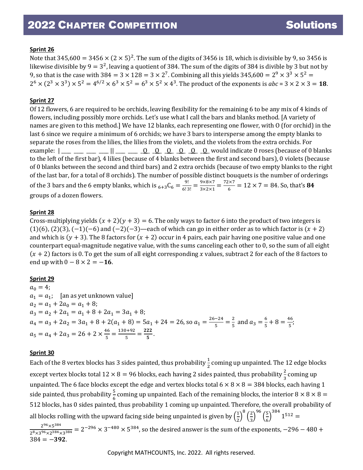Note that 345,600 =  $3456 \times (2 \times 5)^2$ . The sum of the digits of 3456 is 18, which is divisible by 9, so 3456 is likewise divisible by  $9 = 3^2$ , leaving a quotient of 384. The sum of the digits of 384 is divible by 3 but not by 9, so that is the case with  $384 = 3 \times 128 = 3 \times 2^7$ . Combining all this yields  $345,600 = 2^9 \times 3^3 \times 5^2 =$  $2^6 \times (2^3 \times 3^3) \times 5^2 = 4^{6/2} \times 6^3 \times 5^2 = 6^3 \times 5^2 \times 4^3$ . The product of the exponents is  $abc = 3 \times 2 \times 3 = 18$ .

# **Sprint 27**

Of 12 flowers, 6 are required to be orchids, leaving flexibility for the remaining 6 to be any mix of 4 kinds of flowers, including possibly more orchids. Let's use what I call the bars and blanks method. [A variety of names are given to this method.] We have 12 blanks, each representing one flower, with O (for orchid) in the last 6 since we require a minimum of 6 orchids; we have 3 bars to intersperse among the empty blanks to separate the roses from the lilies, the lilies from the violets, and the violets from the extra orchids. For example:  $\begin{array}{cccc} | & 0 & 0 & 0 & 0 & 0 & 0 & 0 \end{array}$  would indicate 0 roses (because of 0 blanks to the left of the first bar), 4 lilies (because of 4 blanks between the first and second bars), 0 violets (because of 0 blanks between the second and third bars) and 2 extra orchids (because of two empty blanks to the right of the last bar, for a total of 8 orchids). The number of possible distinct bouquets is the number of orderings of the 3 bars and the 6 empty blanks, which is  $_{6+3}C_6 = \frac{9!}{6!3!} = \frac{9 \times 8 \times 7}{3 \times 2 \times 1} = \frac{72 \times 7}{6} = 12 \times 7 = 84$ . So, that's **8** groups of a dozen flowers.

#### **Sprint 28**

Cross-multiplying yields  $(x + 2)(y + 3) = 6$ . The only ways to factor 6 into the product of two integers is  $(1)(6)$ ,  $(2)(3)$ ,  $(-1)(-6)$  and  $(-2)(-3)$ —each of which can go in either order as to which factor is  $(x + 2)$ and which is  $(y + 3)$ . The 8 factors for  $(x + 2)$  occur in 4 pairs, each pair having one positive value and one counterpart equal-magnitude negative value, with the sums canceling each other to 0, so the sum of all eight  $(x + 2)$  factors is 0. To get the sum of all eight corresponding x values, subtract 2 for each of the 8 factors to end up with  $0 - 8 \times 2 = -16$ .

#### **Sprint 29**

 $a_0 = 4;$  $a_1 = a_1$ ; [an as yet unknown value]  $a_2 = a_1 + 2a_0 = a_1 + 8;$  $a_3 = a_2 + 2a_1 = a_1 + 8 + 2a_1 = 3a_1 + 8;$  $a_4 = a_3 + 2a_2 = 3a_1 + 8 + 2(a_1 + 8) = 5a_1 + 24 = 26$ , so  $a_1 = \frac{26-24}{5} = \frac{2}{5}$  and  $a_3 = \frac{6}{5} + 8 = \frac{46}{5}$ ;  $a_5 = a_4 + 2a_3 = 26 + 2 \times \frac{46}{5} = \frac{130 + 92}{5} = \frac{222}{5}.$ 

#### **Sprint 30**

Each of the 8 vertex blocks has 3 sides painted, thus probability  $\frac{1}{2}$  coming up unpainted. The 12 edge blocks except vertex blocks total  $12 \times 8 = 96$  blocks, each having 2 sides painted, thus probability  $\frac{2}{3}$  coming up unpainted. The 6 face blocks except the edge and vertex blocks total  $6 \times 8 \times 8 = 384$  blocks, each having 1 side painted, thus probability  $\frac{5}{6}$  coming up unpainted. Each of the remaining blocks, the interior  $8 \times 8 \times 8 =$ 512 blocks, has 0 sides painted, thus probability 1 coming up unpainted. Therefore, the overall probability of all blocks rolling with the upward facing side being unpainted is given by  $\left(\frac{1}{2}\right)$  $\frac{1}{2}$ 8  $\left(\frac{2}{3}\right)$  $\frac{1}{3}$ 96  $\left(\frac{5}{6}\right)$  $\frac{1}{6}$  $1^{512} =$ 

 $\frac{2^{96}\times5^{384}}{2^8\times3^{96}\times2^{384}\times3^{384}}$  = 2<sup>-296</sup>  $\times$  3<sup>-480</sup>  $\times$  5<sup>384</sup>, so the desired answer is the sum of the exponents, -296 - 480 +  $384 = -392.$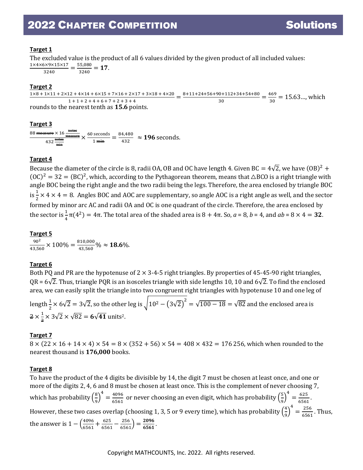# **Target 1**

The excluded value is the product of all 6 values divided by the given product of all included values:

 $\frac{1\times4\times6\times9\times15\times17}{3240}=\frac{55,080}{3240}=17.$ 

# **Target 2**

 $\frac{1 \times 8 + 1 \times 11 + 2 \times 12 + 4 \times 14 + 6 \times 15 + 7 \times 16 + 2 \times 17 + 3 \times 18 + 4 \times 20}{1 + 1 + 2 + 4 + 6 + 7 + 2 + 3 + 4} = \frac{8 + 11 + 24 + 56 + 90 + 112 + 34 + 54 + 80}{30} = \frac{469}{30} = 15.63...$ , which

rounds to the nearest tenth as **15.6** points.

## **Target 3**

 $\frac{\text{88 measure}}{\text{measure}} \times 16 \frac{\text{meters}}{\text{measure}}$  $\times \frac{60 \text{ seconds}}{1 \text{ min}} = \frac{84,480}{432} \approx 196 \text{ seconds}.$ 

# **Target 4**

Because the diameter of the circle is 8, radii OA, OB and OC have length 4. Given BC =  $4\sqrt{2}$ , we have  $(OB)^2$  +  $(OC)^2 = 32 = (BC)^2$ , which, according to the Pythagorean theorem, means that  $\triangle BCO$  is a right triangle with angle BOC being the right angle and the two radii being the legs. Therefore, the area enclosed by triangle BOC is  $\frac{1}{2} \times 4 \times 4 = 8$ . Angles BOC and AOC are supplementary, so angle AOC is a right angle as well, and the sector formed by minor arc AC and radii OA and OC is one quadrant of the circle. Therefore, the area enclosed by the sector is  $\frac{1}{4}$  π(4<sup>2</sup>) = 4π. The total area of the shaded area is 8 + 4π. So, *a* = 8, *b* = 4, and *ab* = 8 × 4 = **32**.

**Target 5**  $90^2$  $\frac{90^2}{43,560} \times 100\% = \frac{810,000}{43,560} \% \approx 18.6\%.$ 

# **Target 6**

Both PQ and PR are the hypotenuse of  $2 \times 3$ -4-5 right triangles. By properties of 45-45-90 right triangles, QR =  $6\sqrt{2}$ . Thus, triangle PQR is an isosceles triangle with side lengths 10, 10 and  $6\sqrt{2}$ . To find the enclosed area, we can easily split the triangle into two congruent right triangles with hypotenuse 10 and one leg of

length  $\frac{1}{2} \times 6\sqrt{2} = 3\sqrt{2}$ , so the other leg is  $\sqrt{10^2 - (3\sqrt{2})^2} = \sqrt{100 - 18} = \sqrt{82}$  and the enclosed area is  $\frac{2}{3}$   $\times$   $\frac{1}{2}$  $\frac{1}{2} \times 3\sqrt{2} \times \sqrt{82} = 6\sqrt{41}$  units<sup>2</sup>.

# **Target 7**

 $8 \times (22 \times 16 + 14 \times 4) \times 54 = 8 \times (352 + 56) \times 54 = 408 \times 432 = 176256$ , which when rounded to the nearest thousand is **176,000** books.

#### **Target 8**

To have the product of the 4 digits be divisible by 14, the digit 7 must be chosen at least once, and one or more of the digits 2, 4, 6 and 8 must be chosen at least once. This is the complement of never choosing 7, which has probability  $\left(\frac{8}{9}\right)$ 9 �  $\frac{4}{6561}$  or never choosing an even digit, which has probability  $\left(\frac{5}{9}\right)$ 9 �  $\frac{4}{6561}$ . However, these two cases overlap (choosing 1, 3, 5 or 9 every time), which has probability  $\left(\frac{4}{9}\right)$ 9 �  $\frac{4}{6561}$ . Thus, the answer is  $1 - \left(\frac{4096}{6561} + \frac{625}{6561} - \frac{256}{6561}\right) = \frac{2096}{6561}$ .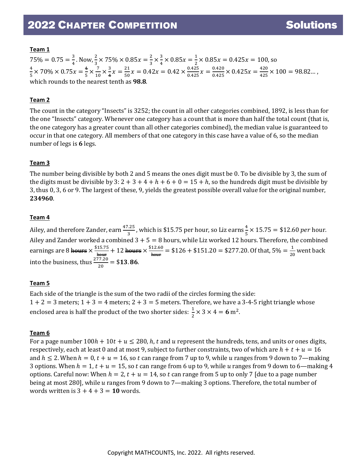# **Team 1**

 $75\% = 0.75 = \frac{3}{4}$ . Now,  $\frac{2}{3} \times 75\% \times 0.85x = \frac{2}{3} \times \frac{3}{4} \times 0.85x = \frac{1}{2} \times 0.85x = 0.425x = 100$ , so 3 3 4 2  $\frac{4}{1}$  $\frac{4}{5} \times 70\% \times 0.75x = \frac{4}{5} \times \frac{7}{10}$  $\frac{7}{10} \times \frac{3}{4}$  $\frac{3}{4}x = \frac{21}{50}x = 0.42x = 0.42 \times \frac{0.425}{0.425}$  $\frac{0.425}{0.425}x = \frac{0.420}{0.425} \times 0.425x = \frac{420}{425} \times 100 = 98.82...$ which rounds to the nearest tenth as **98.8**.

# **Team 2**

The count in the category "Insects" is 3252; the count in all other categories combined, 1892, is less than for the one "Insects" category. Whenever one category has a count that is more than half the total count (that is, the one category has a greater count than all other categories combined), the median value is guaranteed to occur in that one category. All members of that one category in this case have a value of 6, so the median number of legs is **6** legs.

# **Team 3**

The number being divisible by both 2 and 5 means the ones digit must be 0. To be divisible by 3, the sum of the digits must be divisible by  $3: 2 + 3 + 4 + h + 6 + 0 = 15 + h$ , so the hundreds digit must be divisible by 3, thus 0, 3, 6 or 9. The largest of these, 9, yields the greatest possible overall value for the original number, **234960**.

## **Team 4**

Ailey, and therefore Zander, earn  $\frac{47.25}{3}$ , which is \$15.75 per hour, so Liz earns  $\frac{4}{5} \times 15.75 = $12.60$  *per* hour. Ailey and Zander worked a combined 3 + 5 = 8 hours, while Liz worked 12 hours. Therefore, the combined earnings are 8 hours  $\times \frac{$15.75}{h_{\text{out}}} + 12$  hours  $\times \frac{$12.60}{h_{\text{out}}} = $126 + $151.20 = $277.20$ . Of that,  $5\% = \frac{1}{20}$  went back into the business, thus  $\frac{277.20}{20} = $13.86$ .

# **Team 5**

Each side of the triangle is the sum of the two radii of the circles forming the side:  $1 + 2 = 3$  meters;  $1 + 3 = 4$  meters;  $2 + 3 = 5$  meters. Therefore, we have a 3-4-5 right triangle whose enclosed area is half the product of the two shorter sides:  $\frac{1}{2} \times 3 \times 4 = 6$  m<sup>2</sup>.

# **Team 6**

For a page number  $100h + 10t + u \le 280$ , h, t and u represent the hundreds, tens, and units or ones digits, respectively, each at least 0 and at most 9, subject to further constraints, two of which are  $h + t + u = 16$ and  $h \le 2$ . When  $h = 0$ ,  $t + u = 16$ , so t can range from 7 up to 9, while u ranges from 9 down to 7—making 3 options. When  $h = 1$ ,  $t + u = 15$ , so t can range from 6 up to 9, while u ranges from 9 down to 6—making 4 options. Careful now: When  $h = 2$ ,  $t + u = 14$ , so t can range from 5 up to only 7 [due to a page number being at most 280], while u ranges from 9 down to 7—making 3 options. Therefore, the total number of words written is  $3 + 4 + 3 = 10$  words.